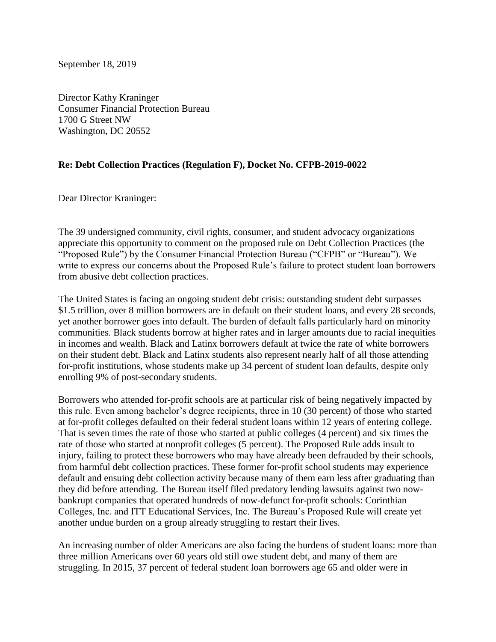September 18, 2019

Director Kathy Kraninger Consumer Financial Protection Bureau 1700 G Street NW Washington, DC 20552

## **Re: Debt Collection Practices (Regulation F), Docket No. CFPB-2019-0022**

Dear Director Kraninger:

The 39 undersigned community, civil rights, consumer, and student advocacy organizations appreciate this opportunity to comment on the proposed rule on Debt Collection Practices (the "Proposed Rule") by the Consumer Financial Protection Bureau ("CFPB" or "Bureau"). We write to express our concerns about the Proposed Rule's failure to protect student loan borrowers from abusive debt collection practices.

The United States is facing an ongoing student debt crisis: outstanding student debt surpasses \$1.5 trillion, over 8 million borrowers are in default on their student loans, and every 28 seconds, yet another borrower goes into default. The burden of default falls particularly hard on minority communities. Black students borrow at higher rates and in larger amounts due to racial inequities in incomes and wealth. Black and Latinx borrowers default at twice the rate of white borrowers on their student debt. Black and Latinx students also represent nearly half of all those attending for-profit institutions, whose students make up 34 percent of student loan defaults, despite only enrolling 9% of post-secondary students.

Borrowers who attended for-profit schools are at particular risk of being negatively impacted by this rule. Even among bachelor's degree recipients, three in 10 (30 percent) of those who started at for-profit colleges defaulted on their federal student loans within 12 years of entering college. That is seven times the rate of those who started at public colleges (4 percent) and six times the rate of those who started at nonprofit colleges (5 percent). The Proposed Rule adds insult to injury, failing to protect these borrowers who may have already been defrauded by their schools, from harmful debt collection practices. These former for-profit school students may experience default and ensuing debt collection activity because many of them earn less after graduating than they did before attending. The Bureau itself filed predatory lending lawsuits against two nowbankrupt companies that operated hundreds of now-defunct for-profit schools: Corinthian Colleges, Inc. and ITT Educational Services, Inc. The Bureau's Proposed Rule will create yet another undue burden on a group already struggling to restart their lives.

An increasing number of older Americans are also facing the burdens of student loans: more than three million Americans over 60 years old still owe student debt, and many of them are struggling. In 2015, 37 percent of federal student loan borrowers age 65 and older were in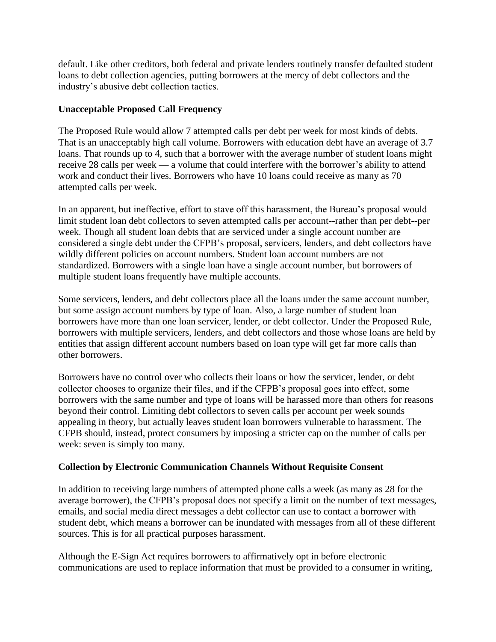default. Like other creditors, both federal and private lenders routinely transfer defaulted student loans to debt collection agencies, putting borrowers at the mercy of debt collectors and the industry's abusive debt collection tactics.

## **Unacceptable Proposed Call Frequency**

The Proposed Rule would allow 7 attempted calls per debt per week for most kinds of debts. That is an unacceptably high call volume. Borrowers with education debt have an average of 3.7 loans. That rounds up to 4, such that a borrower with the average number of student loans might receive 28 calls per week — a volume that could interfere with the borrower's ability to attend work and conduct their lives. Borrowers who have 10 loans could receive as many as 70 attempted calls per week.

In an apparent, but ineffective, effort to stave off this harassment, the Bureau's proposal would limit student loan debt collectors to seven attempted calls per account--rather than per debt--per week. Though all student loan debts that are serviced under a single account number are considered a single debt under the CFPB's proposal, servicers, lenders, and debt collectors have wildly different policies on account numbers. Student loan account numbers are not standardized. Borrowers with a single loan have a single account number, but borrowers of multiple student loans frequently have multiple accounts.

Some servicers, lenders, and debt collectors place all the loans under the same account number, but some assign account numbers by type of loan. Also, a large number of student loan borrowers have more than one loan servicer, lender, or debt collector. Under the Proposed Rule, borrowers with multiple servicers, lenders, and debt collectors and those whose loans are held by entities that assign different account numbers based on loan type will get far more calls than other borrowers.

Borrowers have no control over who collects their loans or how the servicer, lender, or debt collector chooses to organize their files, and if the CFPB's proposal goes into effect, some borrowers with the same number and type of loans will be harassed more than others for reasons beyond their control. Limiting debt collectors to seven calls per account per week sounds appealing in theory, but actually leaves student loan borrowers vulnerable to harassment. The CFPB should, instead, protect consumers by imposing a stricter cap on the number of calls per week: seven is simply too many.

## **Collection by Electronic Communication Channels Without Requisite Consent**

In addition to receiving large numbers of attempted phone calls a week (as many as 28 for the average borrower), the CFPB's proposal does not specify a limit on the number of text messages, emails, and social media direct messages a debt collector can use to contact a borrower with student debt, which means a borrower can be inundated with messages from all of these different sources. This is for all practical purposes harassment.

Although the E-Sign Act requires borrowers to affirmatively opt in before electronic communications are used to replace information that must be provided to a consumer in writing,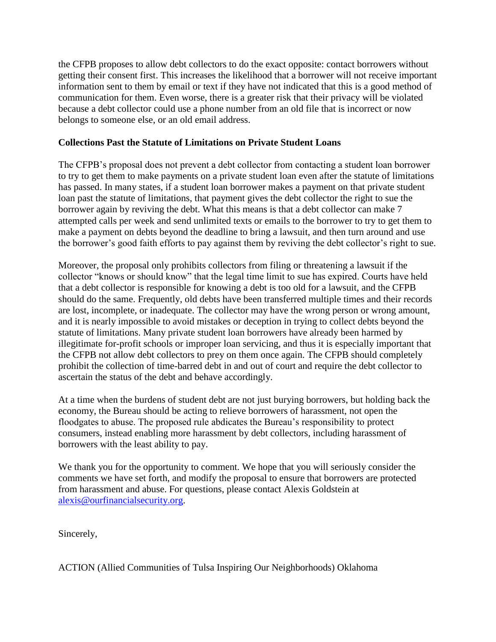the CFPB proposes to allow debt collectors to do the exact opposite: contact borrowers without getting their consent first. This increases the likelihood that a borrower will not receive important information sent to them by email or text if they have not indicated that this is a good method of communication for them. Even worse, there is a greater risk that their privacy will be violated because a debt collector could use a phone number from an old file that is incorrect or now belongs to someone else, or an old email address.

## **Collections Past the Statute of Limitations on Private Student Loans**

The CFPB's proposal does not prevent a debt collector from contacting a student loan borrower to try to get them to make payments on a private student loan even after the statute of limitations has passed. In many states, if a student loan borrower makes a payment on that private student loan past the statute of limitations, that payment gives the debt collector the right to sue the borrower again by reviving the debt. What this means is that a debt collector can make 7 attempted calls per week and send unlimited texts or emails to the borrower to try to get them to make a payment on debts beyond the deadline to bring a lawsuit, and then turn around and use the borrower's good faith efforts to pay against them by reviving the debt collector's right to sue.

Moreover, the proposal only prohibits collectors from filing or threatening a lawsuit if the collector "knows or should know" that the legal time limit to sue has expired. Courts have held that a debt collector is responsible for knowing a debt is too old for a lawsuit, and the CFPB should do the same. Frequently, old debts have been transferred multiple times and their records are lost, incomplete, or inadequate. The collector may have the wrong person or wrong amount, and it is nearly impossible to avoid mistakes or deception in trying to collect debts beyond the statute of limitations. Many private student loan borrowers have already been harmed by illegitimate for-profit schools or improper loan servicing, and thus it is especially important that the CFPB not allow debt collectors to prey on them once again. The CFPB should completely prohibit the collection of time-barred debt in and out of court and require the debt collector to ascertain the status of the debt and behave accordingly.

At a time when the burdens of student debt are not just burying borrowers, but holding back the economy, the Bureau should be acting to relieve borrowers of harassment, not open the floodgates to abuse. The proposed rule abdicates the Bureau's responsibility to protect consumers, instead enabling more harassment by debt collectors, including harassment of borrowers with the least ability to pay.

We thank you for the opportunity to comment. We hope that you will seriously consider the comments we have set forth, and modify the proposal to ensure that borrowers are protected from harassment and abuse. For questions, please contact Alexis Goldstein at [alexis@ourfinancialsecurity.org.](mailto:alexis@ourfinancialsecurity.org)

Sincerely,

ACTION (Allied Communities of Tulsa Inspiring Our Neighborhoods) Oklahoma